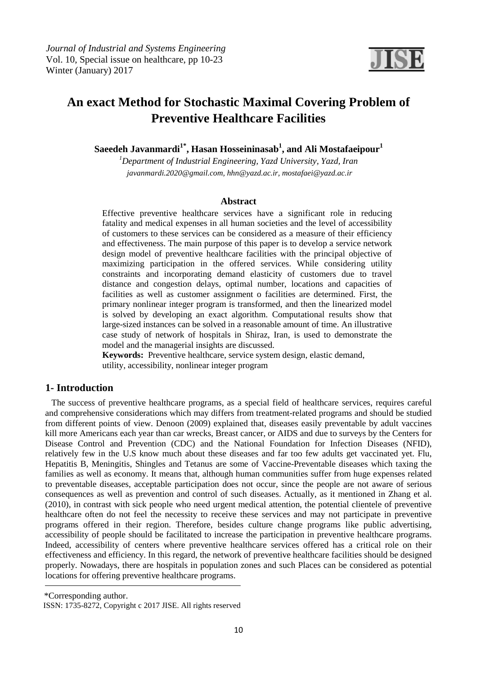

# **An exact Method for Stochastic Maximal Covering Problem of Preventive Healthcare Facilities**

**Saeedeh Javanmardi1\*, Hasan Hosseininasab<sup>1</sup> , and Ali Mostafaeipour<sup>1</sup>**

*<sup>1</sup>Department of Industrial Engineering, Yazd University, Yazd, Iran javanmardi.2020@gmail.com, hhn@yazd.ac.ir, mostafaei@yazd.ac.ir*

#### **Abstract**

Effective preventive healthcare services have a significant role in reducing fatality and medical expenses in all human societies and the level of accessibility of customers to these services can be considered as a measure of their efficiency and effectiveness. The main purpose of this paper is to develop a service network design model of preventive healthcare facilities with the principal objective of maximizing participation in the offered services. While considering utility constraints and incorporating demand elasticity of customers due to travel distance and congestion delays, optimal number, locations and capacities of facilities as well as customer assignment o facilities are determined. First, the primary nonlinear integer program is transformed, and then the linearized model is solved by developing an exact algorithm. Computational results show that large-sized instances can be solved in a reasonable amount of time. An illustrative case study of network of hospitals in Shiraz, Iran, is used to demonstrate the model and the managerial insights are discussed.

**Keywords:** Preventive healthcare, service system design, elastic demand, utility, accessibility, nonlinear integer program

# **1- Introduction**

 The success of preventive healthcare programs, as a special field of healthcare services, requires careful and comprehensive considerations which may differs from treatment-related programs and should be studied from different points of view. Denoon (2009) explained that, diseases easily preventable by adult vaccines kill more Americans each year than car wrecks, Breast cancer, or AIDS and due to surveys by the Centers for Disease Control and Prevention (CDC) and the National Foundation for Infection Diseases (NFID), relatively few in the U.S know much about these diseases and far too few adults get vaccinated yet. Flu, Hepatitis B, Meningitis, Shingles and Tetanus are some of Vaccine-Preventable diseases which taxing the families as well as economy. It means that, although human communities suffer from huge expenses related to preventable diseases, acceptable participation does not occur, since the people are not aware of serious consequences as well as prevention and control of such diseases. Actually, as it mentioned in Zhang et al. (2010), in contrast with sick people who need urgent medical attention, the potential clientele of preventive healthcare often do not feel the necessity to receive these services and may not participate in preventive programs offered in their region. Therefore, besides culture change programs like public advertising, accessibility of people should be facilitated to increase the participation in preventive healthcare programs. Indeed, accessibility of centers where preventive healthcare services offered has a critical role on their effectiveness and efficiency. In this regard, the network of preventive healthcare facilities should be designed properly. Nowadays, there are hospitals in population zones and such Places can be considered as potential locations for offering preventive healthcare programs.

\*Corresponding author.

ISSN: 1735-8272, Copyright c 2017 JISE. All rights reserved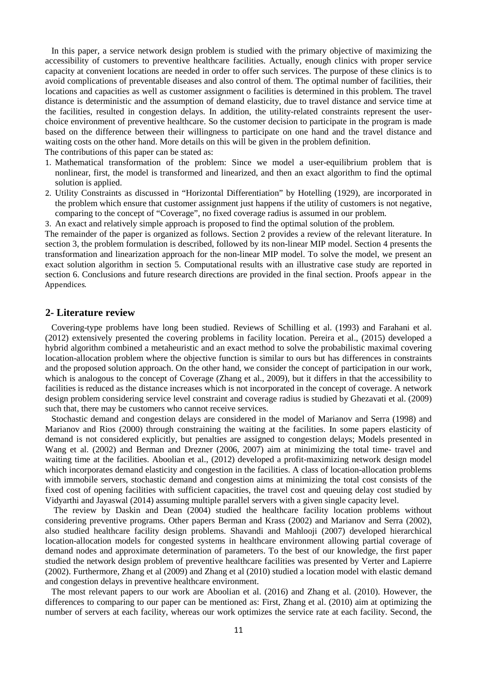In this paper, a service network design problem is studied with the primary objective of maximizing the accessibility of customers to preventive healthcare facilities. Actually, enough clinics with proper service capacity at convenient locations are needed in order to offer such services. The purpose of these clinics is to avoid complications of preventable diseases and also control of them. The optimal number of facilities, their locations and capacities as well as customer assignment o facilities is determined in this problem. The travel distance is deterministic and the assumption of demand elasticity, due to travel distance and service time at the facilities, resulted in congestion delays. In addition, the utility-related constraints represent the userchoice environment of preventive healthcare. So the customer decision to participate in the program is made based on the difference between their willingness to participate on one hand and the travel distance and waiting costs on the other hand. More details on this will be given in the problem definition. The contributions of this paper can be stated as:

- 1. Mathematical transformation of the problem: Since we model a user-equilibrium problem that is nonlinear, first, the model is transformed and linearized, and then an exact algorithm to find the optimal solution is applied.
- 2. Utility Constraints as discussed in "Horizontal Differentiation" by Hotelling (1929), are incorporated in the problem which ensure that customer assignment just happens if the utility of customers is not negative, comparing to the concept of "Coverage", no fixed coverage radius is assumed in our problem.
- 3. An exact and relatively simple approach is proposed to find the optimal solution of the problem.

The remainder of the paper is organized as follows. Section 2 provides a review of the relevant literature. In section 3, the problem formulation is described, followed by its non-linear MIP model. Section 4 presents the transformation and linearization approach for the non-linear MIP model. To solve the model, we present an exact solution algorithm in section 5. Computational results with an illustrative case study are reported in section 6. Conclusions and future research directions are provided in the final section. Proofs appear in the Appendices.

## **2- Literature review**

 Covering-type problems have long been studied. Reviews of Schilling et al. (1993) and Farahani et al. (2012) extensively presented the covering problems in facility location. Pereira et al., (2015) developed a hybrid algorithm combined a metaheuristic and an exact method to solve the probabilistic maximal covering location-allocation problem where the objective function is similar to ours but has differences in constraints and the proposed solution approach. On the other hand, we consider the concept of participation in our work, which is analogous to the concept of Coverage (Zhang et al., 2009), but it differs in that the accessibility to facilities is reduced as the distance increases which is not incorporated in the concept of coverage. A network design problem considering service level constraint and coverage radius is studied by Ghezavati et al. (2009) such that, there may be customers who cannot receive services.

 Stochastic demand and congestion delays are considered in the model of Marianov and Serra (1998) and Marianov and Rios (2000) through constraining the waiting at the facilities. In some papers elasticity of demand is not considered explicitly, but penalties are assigned to congestion delays; Models presented in Wang et al. (2002) and Berman and Drezner (2006, 2007) aim at minimizing the total time- travel and waiting time at the facilities. Aboolian et al., (2012) developed a profit-maximizing network design model which incorporates demand elasticity and congestion in the facilities. A class of location-allocation problems with immobile servers, stochastic demand and congestion aims at minimizing the total cost consists of the fixed cost of opening facilities with sufficient capacities, the travel cost and queuing delay cost studied by Vidyarthi and Jayaswal (2014) assuming multiple parallel servers with a given single capacity level.

 The review by Daskin and Dean (2004) studied the healthcare facility location problems without considering preventive programs. Other papers Berman and Krass (2002) and Marianov and Serra (2002), also studied healthcare facility design problems. Shavandi and Mahlooji (2007) developed hierarchical location-allocation models for congested systems in healthcare environment allowing partial coverage of demand nodes and approximate determination of parameters. To the best of our knowledge, the first paper studied the network design problem of preventive healthcare facilities was presented by Verter and Lapierre (2002). Furthermore, Zhang et al (2009) and Zhang et al (2010) studied a location model with elastic demand and congestion delays in preventive healthcare environment.

 The most relevant papers to our work are Aboolian et al. (2016) and Zhang et al. (2010). However, the differences to comparing to our paper can be mentioned as: First, Zhang et al. (2010) aim at optimizing the number of servers at each facility, whereas our work optimizes the service rate at each facility. Second, the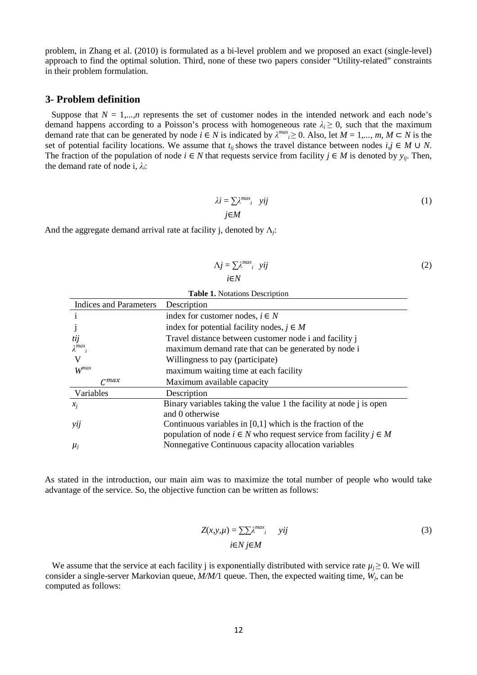problem, in Zhang et al. (2010) is formulated as a bi-level problem and we proposed an exact (single-level) approach to find the optimal solution. Third, none of these two papers consider "Utility-related" constraints in their problem formulation.

## **3- Problem definition**

Suppose that  $N = 1,...,n$  represents the set of customer nodes in the intended network and each node's demand happens according to a Poisson's process with homogeneous rate  $\lambda_i \geq 0$ , such that the maximum demand rate that can be generated by node  $i \in N$  is indicated by  $\lambda^{max} \ge 0$ . Also, let  $M = 1,..., m, M \subset N$  is the set of potential facility locations. We assume that  $t_{ij}$  shows the travel distance between nodes  $i, j \in M \cup N$ . The fraction of the population of node  $i$  ∈ *N* that requests service from facility  $j$  ∈ *M* is denoted by  $y_{ij}$ . Then, the demand rate of node i,  $\lambda_i$ :

$$
\lambda i = \sum \lambda^{max} i \quad yij
$$
\n
$$
j \in M
$$
\n(1)

And the aggregate demand arrival rate at facility j, denoted by Λ*<sup>j</sup>* :

$$
\Delta j = \sum \lambda^{max} i \quad yij
$$
\n $i \in N$ \n(2)

| <b>Table 1.</b> Notations Description                                    |  |  |  |  |  |
|--------------------------------------------------------------------------|--|--|--|--|--|
| Description                                                              |  |  |  |  |  |
| index for customer nodes, $i \in N$                                      |  |  |  |  |  |
| index for potential facility nodes, $j \in M$                            |  |  |  |  |  |
| Travel distance between customer node i and facility i                   |  |  |  |  |  |
| maximum demand rate that can be generated by node i                      |  |  |  |  |  |
| Willingness to pay (participate)                                         |  |  |  |  |  |
| maximum waiting time at each facility                                    |  |  |  |  |  |
| Maximum available capacity                                               |  |  |  |  |  |
| Description                                                              |  |  |  |  |  |
| Binary variables taking the value 1 the facility at node j is open       |  |  |  |  |  |
| and 0 otherwise                                                          |  |  |  |  |  |
| Continuous variables in $[0,1]$ which is the fraction of the             |  |  |  |  |  |
| population of node $i \in N$ who request service from facility $j \in M$ |  |  |  |  |  |
| Nonnegative Continuous capacity allocation variables                     |  |  |  |  |  |
|                                                                          |  |  |  |  |  |

As stated in the introduction, our main aim was to maximize the total number of people who would take advantage of the service. So, the objective function can be written as follows:

$$
Z(x, y, \mu) = \sum \sum \lambda^{max} i \quad yij
$$
  
  $i \in N \ j \in M$  (3)

We assume that the service at each facility *j* is exponentially distributed with service rate  $\mu_i \geq 0$ . We will consider a single-server Markovian queue, *M/M/*1 queue. Then, the expected waiting time, *W<sup>j</sup>* , can be computed as follows: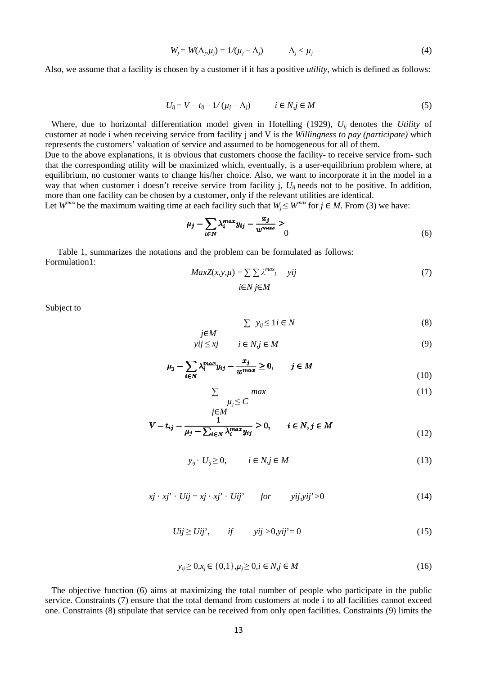$$
W_j = W(\Lambda_{j}, \mu_j) = 1/(\mu_j - \Lambda_j) \qquad \Lambda_j < \mu_j \qquad (4)
$$

Also, we assume that a facility is chosen by a customer if it has a positive *utility*, which is defined as follows:

$$
U_{ij} = V - t_{ij} - 1/(u_j - \Lambda_j) \qquad i \in N, j \in M
$$
 (5)

 Where, due to horizontal differentiation model given in Hotelling (1929), *Uij*  denotes the *Utility* of customer at node i when receiving service from facility j and V is the *Willingness to pay (participate)*  which represents the customers' valuation of service and assumed to be homogeneous for all of them. represents the customers' valuation of service and assumed to be homogeneous for all of them.<br>Due to the above explanations, it is obvious that customers choose the facility- to receive service from- such

that the corresponding utility will be maximized which, eventually, is a user-equilibrium problem where, at equilibrium, no customer wants to change his/her choice. Also, we want to incorporate it in the model in a way that when customer i doesn't receive service from facility j,  $U_{ij}$  needs not to be positive. In addition, more than one facility can be chosen by a customer, only if the relevant utilities are identical. equilibrium problem where, at<br>necorporate it in the model in a<br>not to be positive. In addition,<br>s are identical.<br> $\vdots \in M$ . From (3) we have:<br>(6)

Let  $W^{max}$  be the maximum waiting time at each facility such that  $W_j \leq W^{max}$  for  $j \in M$ . From (3) we have:

$$
\mu_j - \sum_{i \in N} \lambda_i^{max} y_{ij} - \frac{x_j}{w^{max}} \ge 0
$$
\n<sup>(6)</sup>

Table 1, summarizes the notations and the problem can be formulated as follows: Formulation1:

*j*∈*M*

$$
MaxZ(x, y, \mu) = \sum \sum \lambda^{max} \quad yij
$$
  
  $i \in N \ j \in M$  (7)

Subject to

$$
\sum y_{ij} \le 1 \, i \in N \tag{8}
$$

$$
yij \le xj \qquad i \in N, j \in M \tag{9}
$$

$$
\mu_j - \sum_{i \in N} \lambda_i^{max} y_{ij} - \frac{x_j}{w^{max}} \ge 0, \qquad j \in M
$$
\n(10)

$$
\sum_{\mu_j \le C} \max \tag{11}
$$

$$
V - t_{ij} - \frac{1}{\mu_j - \sum_{i \in N} \lambda_i^{max} y_{ij}} \ge 0, \qquad i \in N, j \in M
$$
\n(12)

$$
y_{ij} \t U_{ij} \geq 0, \t i \in N, j \in M
$$
\n
$$
(13)
$$

$$
xj \cdot xj' \cdot Uij = xj \cdot xj' \cdot Uij' \qquad \text{for} \qquad yij, yij' > 0 \tag{14}
$$

$$
Uij \ge Uij', \qquad \text{if} \qquad \text{vij} > 0, \text{vij'} = 0 \tag{15}
$$

$$
y_{ij} \ge 0, x_j \in \{0, 1\}, \mu_j \ge 0, i \in N, j \in M
$$
\n(16)

 The objective function (6) aims at maximizing the total number of people who participate in the public service. Constraints (7) ensure that the total demand from customers at node i to all facilities cannot exceed one. Constraints (8) stipulate that service can be received from only open facilities. Constraints (9) limits the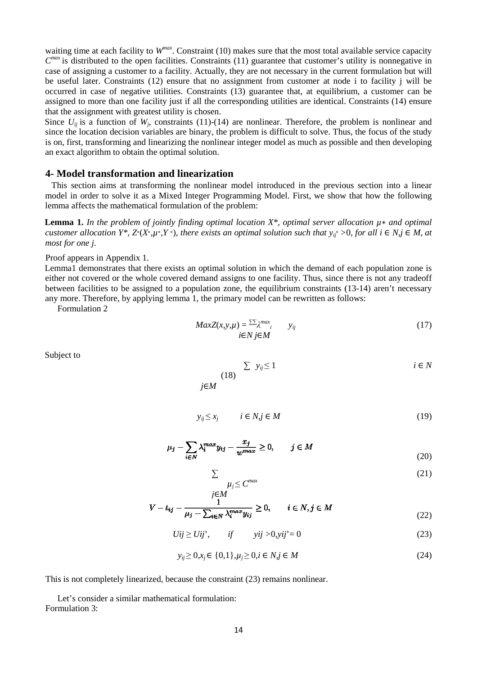waiting time at each facility to  $W^{max}$ . Constraint (10) makes sure that the most total available service capacity  $C<sup>max</sup>$  is distributed to the open facilities. Constraints (11) guarantee that customer's utility is nonnegative in case of assigning a customer to a facility. Actually, they are not necessary in the current formulation but will be useful later. Constraints (12) ensure that no assignment from customer at node i to facility j will be occurred in case of negative utilities. Constraints (13) guarantee that, at equilibrium, a customer can be assigned to more than one facility just if all the corresponding utilities are identical. Constraints (14) ensure that the assignment with greatest utility is chosen.

that the assignment with greatest utility is chosen.<br>Since  $U_{ij}$  is a function of  $W_j$ , constraints (11)-(14) are nonlinear. Therefore, the problem is nonlinear and since the location decision variables are binary, the problem is difficult to solve. Thus, the focus of the study is on, first, transforming and linearizing the nonlinear integer model as much as possible and then developing an exact algorithm to obtain the optimal solution.

## 4- Model transformation and linearization

 This section aims at transforming the nonlinear model introduced in the previous section into a linear model in order to solve it as a Mixed Integer Programming Model. First, we show that how the following lemma affects the mathematical formulation of the problem:

**Lemma 1.** *In the problem of jointly finding optimal location X<sup>\*</sup>, optimal server allocation μ<sup>\*</sup> and optimal customer allocation Y<sup>\*</sup>, Z<sup>\*</sup>(X<sup>\*</sup>,µ<sup>\*</sup>,Y<sup>\*</sup>), there exists an optimal solution such that*  $y_{ij}$ *<sup>\*</sup> >0, for all i ∈ N,j ∈ M, at most for one j.* 

#### Proof appears in Appendix 1.

Lemma1 demonstrates that there exists an optimal solution in which the demand of each population zone is either not covered or the whole covered demand assigns to one facility. Thus, since there is not any tradeoff between facilities to be assigned to a population zone, the equilibrium constraints (13-14) aren't necessary any more. Therefore, by applying lemma 1, the primary model can be rewritten as follows: must that no assignment from customer at node it of fecility j will be<br>iso. Constraints (13) guarantee that, at equilibrium, a customer can be<br>just if all the corresponding utilities are identical. Constraints (14) ensure

Formulation 2

$$
MaxZ(x, y, \mu) = \frac{\sum \chi_{max}}{i}
$$
  $y_{ij}$   $(17)$   $i \in N$   $j \in M$ 

Subject to

$$
\sum y_{ij} \le 1 \qquad i \in N
$$
  
 $j \in M$ 

$$
y_{ij} \le x_j \qquad i \in N, j \in M \tag{19}
$$

$$
\mu_j - \sum_{i \in N} \lambda_i^{max} y_{ij} - \frac{x_j}{w^{max}} \ge 0, \qquad j \in M
$$
\n(20)

$$
\mu_j \le C^{max} \tag{21}
$$

$$
V - t_{ij} - \frac{1}{\mu_j - \sum_{i \in N} \lambda_i^{max} y_{ij}} \ge 0, \qquad i \in N, j \in M
$$
\n(22)

$$
Uij \ge Uij', \qquad \text{if} \qquad \text{yij} > 0, \text{yij'} = 0 \tag{23}
$$

$$
y_{ij} \ge 0, x_j \in \{0, 1\}, \mu_j \ge 0, i \in N, j \in M
$$
\n<sup>(24)</sup>

This is not completely linearized, because the constraint (23) remains nonlinear.

∑

*j*∈*M*

Let's consider a similar mathematical formulation: Formulation 3: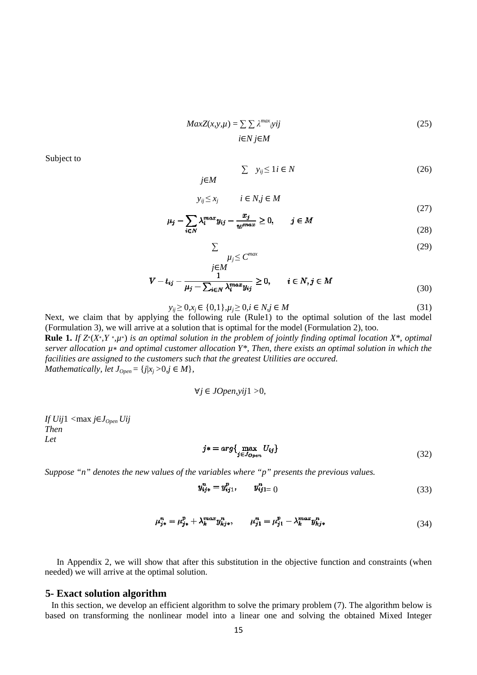$$
MaxZ(x, y, \mu) = \sum \sum \lambda^{max} yij
$$
  
  $i \in N j \in M$  (25)

Subject to

$$
\sum y_{ij} \le 1 \, i \in N \tag{26}
$$

$$
y_{ij} \le x_j \qquad i \in N, j \in M
$$

$$
\mu_j - \sum_{i \in N} \lambda_i^{max} y_{ij} - \frac{x_j}{w^{max}} \ge 0, \qquad j \in M
$$
\n(28)

$$
\mu_i \le C^{max} \tag{29}
$$

(27)

$$
V - t_{ij} - \frac{1}{\mu_j - \sum_{i \in N} \lambda_i^{max} y_{ij}} \ge 0, \qquad i \in N, j \in M
$$
\n(30)

$$
y_{ij} \ge 0, x_j \in \{0, 1\}, \mu_j \ge 0, i \in N, j \in M
$$
\n(31)

Next, we claim that by applying the following rule (Rule1) to the optimal solution of the last model (Formulation 3), we will arrive at a solution that is optimal for the model (Formulation 2), too.

∑

**Rule 1.** If  $Z^*(X^*, Y^*, \mu^*)$  is an optimal solution in the problem of jointly finding optimal location  $X^*$ , optimal *server allocation µ*∗ *and optimal customer allocation Y\*, Then, there exists an optimal solution in which the facilities are assigned to the customers such that the greatest Utilities are occured. Mathematically, let*  $J_{Open} = \{j | x_j > 0, j \in M\}$ ,

$$
\forall j \in JOpen, yij1 > 0,
$$

*If Uij*1 *<*max *j*∈*JOpen Uij Then Let* 

$$
j* = arg\{\max_{j \in J_{Open}} U_{ij}\}\tag{32}
$$

*Suppose "n" denotes the new values of the variables where "p" presents the previous values.*

$$
y_{ij*}^n = y_{ij1}^p, \qquad y_{ijl}^n = 0 \tag{33}
$$

$$
\mu_{j*}^n = \mu_{j*}^p + \lambda_k^{max} y_{kj*}^n, \qquad \mu_{j1}^n = \mu_{j1}^p - \lambda_k^{max} y_{kj*}^n
$$
\n(34)

In Appendix 2, we will show that after this substitution in the objective function and constraints (when needed) we will arrive at the optimal solution.

#### **5- Exact solution algorithm**

 In this section, we develop an efficient algorithm to solve the primary problem (7). The algorithm below is based on transforming the nonlinear model into a linear one and solving the obtained Mixed Integer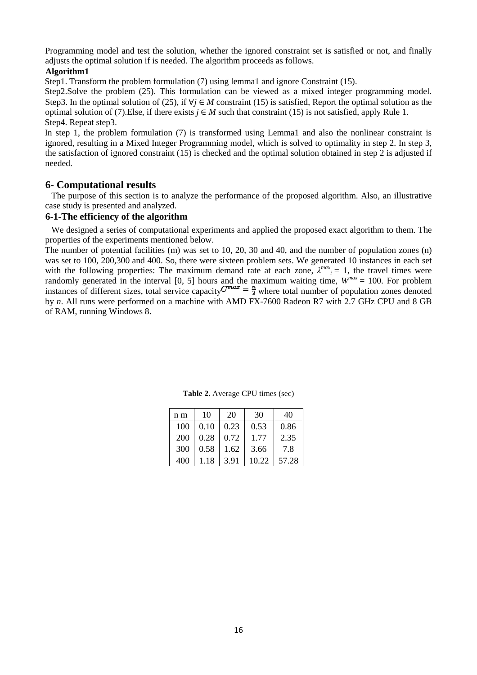Programming model and test the solution, whether the ignored constraint set is satisfied or not, and finally adjusts the optimal solution if is needed. The algorithm proceeds as follows.

#### **Algorithm1**

Step1. Transform the problem formulation (7) using lemma1 and ignore Constraint (15).

Step2. Solve the problem (25). This formulation can be viewed as a mixed integer programming model. Step3. In the optimal solution of (25), if ∀*j* ∈ *M* constraint (15) is satisfied, Report the optimal solution as the optimal solution of (7).Else, if there exists  $j ∈ M$  such that constraint (15) is not satisfied, apply Rule 1. Step4. Repeat step3.

In step 1, the problem formulation (7) is transformed using Lemma1 and also the nonlinear constraint is optimal solution of (7). Else, if there exists  $j \in M$  such that constraint (15) is not satisfied, apply Rule 1.<br>Step4. Repeat step3.<br>In step 1, the problem formulation (7) is transformed using Lemma1 and also the nonlinea the satisfaction of ignored constraint (15) is checked and the optimal solution obtained in step 2 is adjusted if needed.

# **6- Computational results**

 The purpose of this section is to analyze the performance of the proposed algorithm. Also, an illustrative case study is presented and analyzed.

## **6-1-The efficiency of the algorithm lgorithm**

 We designed a series of computational experiments and applied the proposed exact algorithm to them. The properties of the experiments mentioned below.

The number of potential facilities (m) was set to 10, 20, 30 and 40, and the number of population zones (n) was set to 100, 200,300 and 400. So, there were sixteen problem sets. We generated 10 instances in each set was set to 100, 200,300 and 400. So, there were sixteen problem sets. We generated 10 instances in each set with the following properties: The maximum demand rate at each zone,  $\lambda^{max}$ <sub>*i*</sub> = 1, the travel times were randomly generated in the interval  $[0, 5]$  hours and the maximum waiting time,  $W^{max} = 100$ . For problem instances of different sizes, total service capacity  $C^{max} = \frac{\pi}{2}$  where total number of population zones denoted by *n*. All runs were performed on a machine with AMD FX-7600 Radeon R7 with 2.7 GHz CPU and 8 GB of RAM, running Windows 8.

| n m | 10   | 20   | 30    | 40    |
|-----|------|------|-------|-------|
| 100 | 0.10 | 0.23 | 0.53  | 0.86  |
| 200 | 0.28 | 0.72 | 1.77  | 2.35  |
| 300 | 0.58 | 1.62 | 3.66  | 7.8   |
| 400 | 1.18 | 3.91 | 10.22 | 57.28 |

**Table 2.** Average CPU times (sec)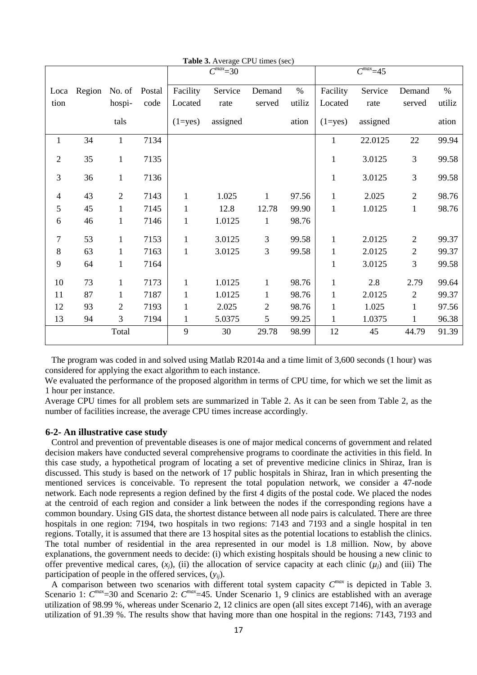|                |        |                |        |              | $C^{max} = 30$ |                |        |              | $C^{max} = 45$ |                |        |
|----------------|--------|----------------|--------|--------------|----------------|----------------|--------|--------------|----------------|----------------|--------|
| Loca           | Region | No. of         | Postal | Facility     | Service        | Demand         | $\%$   | Facility     | Service        | Demand         | $\%$   |
| tion           |        | hospi-         | code   | Located      | rate           | served         | utiliz | Located      | rate           | served         | utiliz |
|                |        | tals           |        | $(1 = yes)$  | assigned       |                | ation  | $(1 = yes)$  | assigned       |                | ation  |
| $\mathbf{1}$   | 34     | $\mathbf{1}$   | 7134   |              |                |                |        | $\mathbf{1}$ | 22.0125        | 22             | 99.94  |
| $\overline{2}$ | 35     | $\mathbf{1}$   | 7135   |              |                |                |        | $\mathbf{1}$ | 3.0125         | 3              | 99.58  |
| 3              | 36     | $\mathbf{1}$   | 7136   |              |                |                |        | $\mathbf{1}$ | 3.0125         | 3              | 99.58  |
| 4              | 43     | $\overline{2}$ | 7143   | $\mathbf{1}$ | 1.025          | 1              | 97.56  | $\mathbf{1}$ | 2.025          | $\overline{2}$ | 98.76  |
| 5              | 45     | $\mathbf{1}$   | 7145   | $\mathbf{1}$ | 12.8           | 12.78          | 99.90  | $\mathbf{1}$ | 1.0125         | $\mathbf{1}$   | 98.76  |
| 6              | 46     | $\mathbf{1}$   | 7146   | $\mathbf{1}$ | 1.0125         | $\mathbf{1}$   | 98.76  |              |                |                |        |
| $\overline{7}$ | 53     | $\mathbf{1}$   | 7153   | $\mathbf{1}$ | 3.0125         | 3              | 99.58  | $\mathbf{1}$ | 2.0125         | $\overline{2}$ | 99.37  |
| $\,8\,$        | 63     | 1              | 7163   | $\mathbf{1}$ | 3.0125         | 3              | 99.58  | 1            | 2.0125         | $\mathbf{2}$   | 99.37  |
| 9              | 64     | $\mathbf{1}$   | 7164   |              |                |                |        | $\mathbf{1}$ | 3.0125         | 3              | 99.58  |
| 10             | 73     | $\mathbf{1}$   | 7173   | $\mathbf{1}$ | 1.0125         | $\mathbf{1}$   | 98.76  | $\mathbf{1}$ | 2.8            | 2.79           | 99.64  |
| 11             | 87     | 1              | 7187   | $\mathbf{1}$ | 1.0125         | $\mathbf{1}$   | 98.76  | $\mathbf{1}$ | 2.0125         | $\sqrt{2}$     | 99.37  |
| 12             | 93     | 2              | 7193   | $\mathbf{1}$ | 2.025          | $\overline{2}$ | 98.76  | $\mathbf{1}$ | 1.025          | $\mathbf{1}$   | 97.56  |
| 13             | 94     | 3              | 7194   | $\mathbf{1}$ | 5.0375         | 5              | 99.25  | 1            | 1.0375         | $\mathbf{1}$   | 96.38  |
|                |        | Total          |        | 9            | 30             | 29.78          | 98.99  | 12           | 45             | 44.79          | 91.39  |

**Table 3.** Average CPU times (sec)

 The program was coded in and solved using Matlab R2014a and a time limit of 3,600 seconds (1 hour) was considered for applying the exact algorithm to each instance.

We evaluated the performance of the proposed algorithm in terms of CPU time, for which we set the limit as 1 hour per instance.

Average CPU times for all problem sets are summarized in Table 2. As it can be seen from Table 2, as the number of facilities increase, the average CPU times increase accordingly.

#### **6-2- An illustrative case study**

 Control and prevention of preventable diseases is one of major medical concerns of government and related decision makers have conducted several comprehensive programs to coordinate the activities in this field. In this case study, a hypothetical program of locating a set of preventive medicine clinics in Shiraz, Iran is discussed. This study is based on the network of 17 public hospitals in Shiraz, Iran in which presenting the mentioned services is conceivable. To represent the total population network, we consider a 47-node network. Each node represents a region defined by the first 4 digits of the postal code. We placed the nodes at the centroid of each region and consider a link between the nodes if the corresponding regions have a common boundary. Using GIS data, the shortest distance between all node pairs is calculated. There are three hospitals in one region: 7194, two hospitals in two regions: 7143 and 7193 and a single hospital in ten regions. Totally, it is assumed that there are 13 hospital sites as the potential locations to establish the clinics. The total number of residential in the area represented in our model is 1.8 million. Now, by above explanations, the government needs to decide: (i) which existing hospitals should be housing a new clinic to offer preventive medical cares,  $(x_i)$ , (ii) the allocation of service capacity at each clinic  $(\mu_i)$  and (iii) The participation of people in the offered services, (*yij*).

A comparison between two scenarios with different total system capacity  $C^{max}$  is depicted in Table 3. Scenario 1:  $C^{max}$ =30 and Scenario 2:  $C^{max}$ =45. Under Scenario 1, 9 clinics are established with an average utilization of 98.99 %, whereas under Scenario 2, 12 clinics are open (all sites except 7146), with an average utilization of 91.39 %. The results show that having more than one hospital in the regions: 7143, 7193 and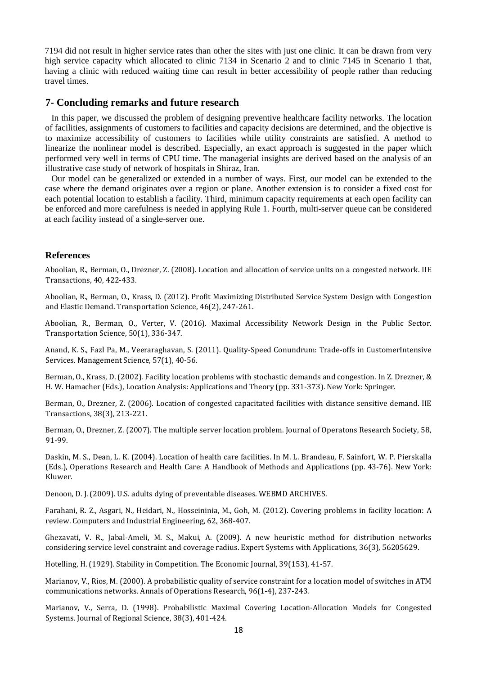7194 did not result in higher service rates than other the sites with just one clinic. It can be drawn from very high service capacity which allocated to clinic 7134 in Scenario 2 and to clinic 7145 in Scenario 1 that, having a clinic with reduced waiting time can result in better accessibility of people rather than reducing travel times.

# **7- Concluding remarks and future research**

 In this paper, we discussed the problem of designing preventive healthcare facility networks. The location of facilities, assignments of customers to facilities and capacity decisions are determined, and the objective is to maximize accessibility of customers to facilities while utility constraints are satisfied. A method to linearize the nonlinear model is described. Especially, an exact approach is suggested in the paper which performed very well in terms of CPU time. The managerial insights are derived based on the analysis of an illustrative case study of network of hospitals in Shiraz, Iran.

 Our model can be generalized or extended in a number of ways. First, our model can be extended to the case where the demand originates over a region or plane. Another extension is to consider a fixed cost for each potential location to establish a facility. Third, minimum capacity requirements at each open facility can be enforced and more carefulness is needed in applying Rule 1. Fourth, multi-server queue can be considered at each facility instead of a single-server one.

## **References**

Aboolian, R., Berman, O., Drezner, Z. (2008). Location and allocation of service units on a congested network. IIE Transactions, 40, 422-433.

Aboolian, R., Berman, O., Krass, D. (2012). Profit Maximizing Distributed Service System Design with Congestion and Elastic Demand. Transportation Science, 46(2), 247-261.

Aboolian, R., Berman, O., Verter, V. (2016). Maximal Accessibility Network Design in the Public Sector. Transportation Science, 50(1), 336-347.

Anand, K. S., Fazl Pa, M., Veeraraghavan, S. (2011). Quality-Speed Conundrum: Trade-offs in CustomerIntensive Services. Management Science, 57(1), 40-56.

Berman, O., Krass, D. (2002). Facility location problems with stochastic demands and congestion. In Z. Drezner, & H. W. Hamacher (Eds.), Location Analysis: Applications and Theory (pp. 331-373). New York: Springer.

Berman, O., Drezner, Z. (2006). Location of congested capacitated facilities with distance sensitive demand. IIE Transactions, 38(3), 213-221.

Berman, O., Drezner, Z. (2007). The multiple server location problem. Journal of Operatons Research Society, 58, 91-99.

Daskin, M. S., Dean, L. K. (2004). Location of health care facilities. In M. L. Brandeau, F. Sainfort, W. P. Pierskalla (Eds.), Operations Research and Health Care: A Handbook of Methods and Applications (pp. 43-76). New York: Kluwer.

Denoon, D. J. (2009). U.S. adults dying of preventable diseases. WEBMD ARCHIVES.

Farahani, R. Z., Asgari, N., Heidari, N., Hosseininia, M., Goh, M. (2012). Covering problems in facility location: A review. Computers and Industrial Engineering, 62, 368-407.

Ghezavati, V. R., Jabal-Ameli, M. S., Makui, A. (2009). A new heuristic method for distribution networks considering service level constraint and coverage radius. Expert Systems with Applications, 36(3), 56205629.

Hotelling, H. (1929). Stability in Competition. The Economic Journal, 39(153), 41-57.

Marianov, V., Rios, M. (2000). A probabilistic quality of service constraint for a location model of switches in ATM communications networks. Annals of Operations Research, 96(1-4), 237-243.

Marianov, V., Serra, D. (1998). Probabilistic Maximal Covering Location-Allocation Models for Congested Systems. Journal of Regional Science, 38(3), 401-424.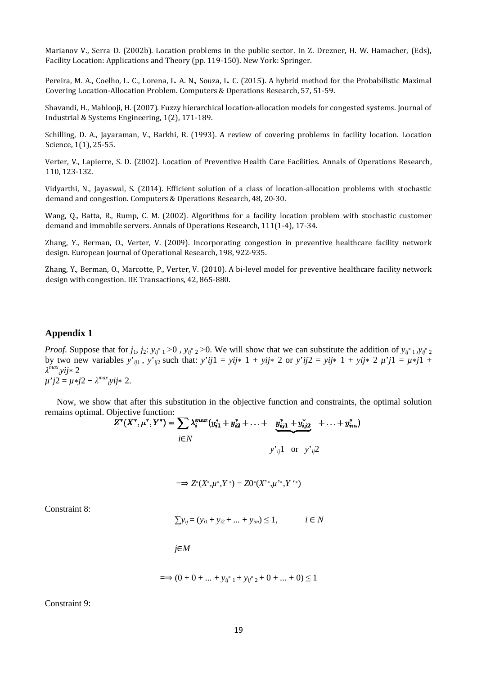Marianov V., Serra D. (2002b). Location problems in the public sector. In Z. Drezner, H. W. Hamacher, (Eds), Facility Location: Applications and Theory (pp. 119-150). New York: Springer.

Pereira, M. A., Coelho, L. C., Lorena, L. A. N., Souza, L. C. (2015). A hybrid method for the Probabilistic Maximal Covering Location-Allocation Problem. Computers & Operations Research, 57, 51-59.

Shavandi, H., Mahlooji, H. (2007). Fuzzy hierarchical location location-allocation models for congested systems. Journal of Industrial & Systems Engineering, 1(2), 171 171-189.

Schilling, D. A., Jayaraman, V., Barkhi, R. (1993). A review of covering problems in facility location. Location Science, 1(1), 25-55.

Verter, V., Lapierre, S. D. (2002). Location of Preventive Health Care Facilities. Annals of Operations Research, 110, 123-132.

Vidyarthi, N., Jayaswal, S. (2014). Efficient solution of a class of location location-allocation problems with stochastic demand and congestion. Computers & Operations Research, 48, 20-30. hical location-allocation models for con<br>
9.<br>
3). A review of covering problems in<br>
reventive Health Care Facilities. Annal<br>
ution of a class of location-allocation<br>
ms Research, 48, 20-30.<br>
rithms for a facility location

Wang, Q., Batta, R., Rump, C. M. (2002). Algorithms for a facility location problem with stochastic customer demand and immobile servers. Annals of Operations Research, 111(1-4), 17-34.

Zhang, Y., Berman, O., Verter, V. (2009). Incorporating congestion in preventive healthcare facility network design. European Journal of Operational Research, 198, 922 922-935.

Zhang, Y., Berman, O., Marcotte, P., Verter, V. (2010). A bi bi-level model for preventive healthcare facility network design with congestion. IIE Transactions, 42, 865-880.

#### **Appendix 1**

*Proof.* Suppose that for  $j_1, j_2$ :  $y_{ij}$ <sup>\*</sup>  $_1$  > 0,  $y_{ij}$ <sup>\*</sup>  $_2$  > 0. We will show that we can substitute the addition of  $y_{ij}$ <sup>\*</sup>  $_1$ ,  $y_{ij}$ <sup>\*</sup>  $_2$ by two new variables  $y'_{ij1}$ ,  $y'_{ij2}$  such that:  $y'_{ij1} = y_{ij} \times 1 + y_{ij} \times 2$  or  $y'_{ij2} = y_{ij} \times 1 + y_{ij} \times 2 \mu'_{ij1} = \mu \times j1 + y_{ij} \times 2 \mu'_{ij1} = \mu \times j1 + y_{ij} \times 2 \mu'_{ij1} = \mu \times j1 + y_{ij} \times 2 \mu'_{ij1} = \mu \times j1 + y_{ij} \times 2 \mu'_{ij1} = \mu \times j1 + y_{ij} \times 2$ *λ max <sup>i</sup>yij*∗ 2 *µ*'*j*2 = *µ*∗*j*2 − *λ max <sup>i</sup>yij*∗ 2.

Now, we show that after this substitution in the objective function and constraints, the optimal solution remains optimal. Objective function:

$$
Z^*(X^*, \mu^*, Y^*) = \sum \lambda_i^{max}(y_{i1}^* + y_{i2}^* + \ldots + y_{ij1}^* + y_{ij2}^* + \ldots + y_{im}^*)
$$
  
 $i \in N$   
 $y'_{ij}1$  or  $y'_{ij}2$ 

$$
=\Rightarrow Z^*(X^*,\mu^*,Y^*)=Z0^*(X^*,\mu^*,Y^*)
$$

Constraint 8:

$$
\sum y_{ij} = (y_{i1} + y_{i2} + \dots + y_{im}) \le 1, \qquad i \in N
$$

*j*∈*M*

$$
=\Rightarrow (0+0+...+y_{ij^*1}+y_{ij^*2}+0+...+0) \le 1
$$

Constraint 9: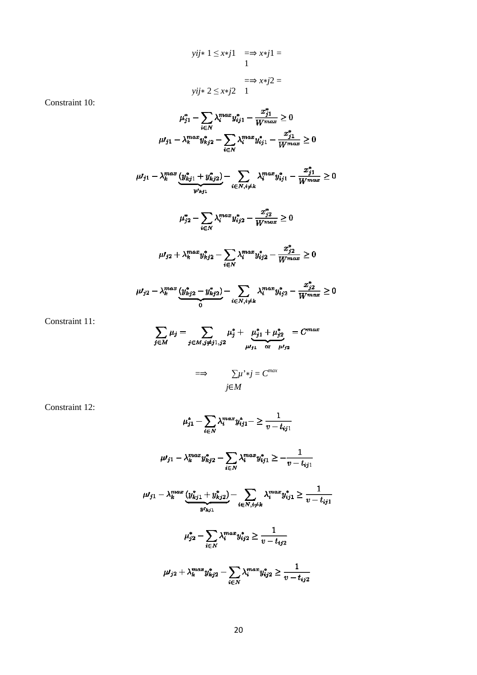$$
yij* 1 \le x * j1 = \Rightarrow x * j1 =
$$
  
1  

$$
= \Rightarrow x * j2 =
$$
  

$$
yij* 2 \le x * j2 = 1
$$

Constraint 10:

$$
\mu_{j1}^{*} - \sum_{i \in N} \lambda_{i}^{max} y_{ij1}^{*} - \frac{x_{j1}^{*}}{W_{max}} \ge 0
$$
\n
$$
\mu_{j1} - \lambda_{k}^{max} y_{kj2}^{*} - \sum_{i \in N} \lambda_{i}^{max} y_{ij1}^{*} - \frac{x_{j1}^{*}}{W_{max}} \ge 0
$$
\n
$$
\mu_{j1} - \lambda_{k}^{max} \underbrace{(y_{kj1}^{*} + y_{kj2}^{*})}_{y_{kj1}} - \sum_{i \in N, i \ne k} \lambda_{i}^{max} y_{ij1}^{*} - \frac{x_{j1}^{*}}{W_{max}} \ge 0
$$
\n
$$
\mu_{j2}^{*} - \sum_{i \in N} \lambda_{i}^{max} y_{ij2}^{*} - \frac{x_{j2}^{*}}{W_{max}} \ge 0
$$
\n
$$
\mu_{j2} + \lambda_{k}^{max} y_{kj2}^{*} - \sum_{i \in N} \lambda_{i}^{max} y_{ij2}^{*} - \frac{x_{j2}^{*}}{W_{max}} \ge 0
$$

$$
\mu_{j2} - \lambda_k^{max} \underbrace{(y_{kj2}^* - y_{kj2}^*)}_{0} - \sum_{i \in N, i \neq k} \lambda_i^{max} y_{ij2}^* - \frac{x_{j2}^*}{W^{max}} \ge 0
$$

Constraint 11:

$$
\sum_{j \in M} \mu_j = \sum_{j \in M, j \neq j1, j2} \mu_j^* + \underbrace{\mu_{j1}^* + \mu_{j2}^*}_{\mu l_{j1} \text{ or } \mu l_{j2}} = C^{max}
$$

$$
\implies \sum \mu^* * j = C^{max}
$$
  

$$
j \in M
$$

Constraint 12:

$$
\mu_{j1}^{*} - \sum_{i \in N} \lambda_{i}^{max} y_{ij1}^{*} - \geq \frac{1}{v - t_{ij1}}
$$
\n
$$
\mu_{j1} - \lambda_{k}^{max} y_{kj2}^{*} - \sum_{i \in N} \lambda_{i}^{max} y_{ij1}^{*} \geq -\frac{1}{v - t_{ij1}}
$$
\n
$$
\mu_{j1} - \lambda_{k}^{max} \underbrace{(y_{kj1}^{*} + y_{kj2}^{*})}_{y_{kj1}} - \sum_{i \in N, i \neq k} \lambda_{i}^{max} y_{ij1}^{*} \geq \frac{1}{v - t_{ij1}}
$$
\n
$$
\mu_{j2}^{*} - \sum_{i \in N} \lambda_{i}^{max} y_{ij2}^{*} \geq \frac{1}{v - t_{ij2}}
$$
\n
$$
\mu_{j2} + \lambda_{k}^{max} y_{kj2}^{*} - \sum_{i \in N} \lambda_{i}^{max} y_{ij2}^{*} \geq \frac{1}{v - t_{ij2}}
$$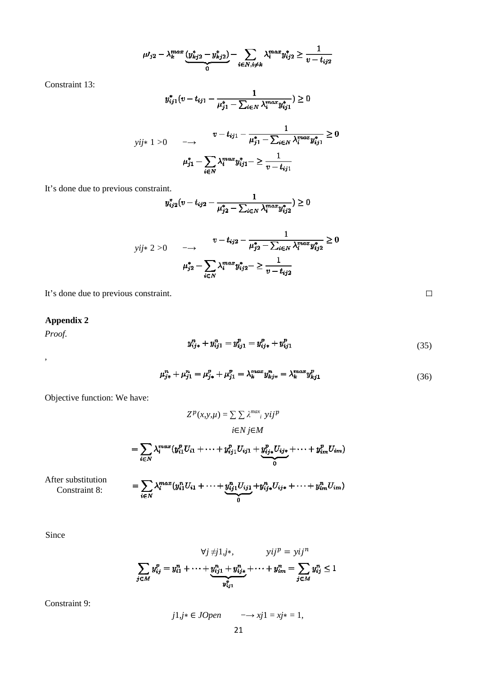$$
\mu I_{j2} - \lambda_k^{max} \underbrace{(y_{kj2}^* - y_{kj2}^*)}_{0} - \sum_{i \in N, i \neq k} \lambda_i^{max} y_{ij2}^* \ge \frac{1}{v - t_{ij2}}
$$

Constraint 13:

$$
y_{ij1}^*(v-t_{ij1}-\frac{1}{\mu_{j1}^*-\sum_{i\in N}\lambda_i^{max}y_{ij1}^*})\geq 0
$$

$$
y_{ij*} \ 1 > 0 \quad \longrightarrow \quad \frac{v - t_{ij1} - \frac{1}{\mu_{j1}^* - \sum_{i \in N} \lambda_i^{max} y_{ij1}^*} \ge 0}{\mu_{j1}^* - \sum_{i \in N} \lambda_i^{max} y_{ij1}^* - \sum_{i \in N} \frac{1}{\mu_{j1}^* - \sum_{i \in N} \lambda_i^{max} y_{ij1}^*} \ge 0
$$

It's done due to previous constraint.

$$
y_{ij2}^*(v - t_{ij2} - \frac{1}{\mu_{j2}^* - \sum_{i \in N} \lambda_i^{max} y_{ij2}^*}) \ge 0
$$

$$
y_{ij*} \ge 0 \quad \longrightarrow \quad v - t_{ij2} - \frac{1}{\mu_{j2}^* - \sum_{i \in N} \lambda_i^{max} y_{ij2}^*} \ge 0
$$

$$
\mu_{j2}^* - \sum_{i \in N} \lambda_i^{max} y_{ij2}^* - \sum_{v - t_{ij2}} \frac{1}{v - t_{ij2}}
$$

It's done due to previous constraint.

# **Appendix 2**

*Proof.* 

,

$$
y_{ij*}^n + y_{ij1}^n = y_{ij1}^p = y_{ij*}^p + y_{ij1}^p
$$
\n(35)

 $\Box$ 

$$
\mu_{j*}^n + \mu_{j1}^n = \mu_{j*}^p + \mu_{j1}^p = \lambda_k^{max} y_{kjs}^n = \lambda_k^{max} y_{kj1}^p
$$
\n(36)

Objective function: We have:

$$
Z^{p}(x, y, \mu) = \sum \sum \lambda^{max} \sum_{i} y_{ij}^{p}
$$
  
\n
$$
i \in N \ j \in M
$$
  
\n
$$
= \sum_{i \in N} \lambda_{i}^{max} (y_{i1}^{p} U_{i1} + \dots + y_{ij1}^{p} U_{ij1} + \underbrace{y_{ij*}^{p} U_{ij*}}_{0} + \dots + y_{im}^{p} U_{im})
$$
  
\n
$$
= \sum \lambda_{i}^{max} (y_{i1}^{n} U_{i1} + \dots + y_{ij1}^{n} U_{ij1} + y_{ij*}^{n} U_{ij*} + \dots + y_{im}^{n} U_{im})
$$

After substitution Constraint 8:

 $-y_{ij*}^{\ldots}U_{ij*}+$  $w_{ij}$  $(y_{i1}U_{i1} +$  $\sum_{i\in N}\lambda_i$  $+\underbrace{y_{ij1}U_{ij1}}_{0}$ 

Since

$$
\forall j \neq j1, j*, \qquad yij^{p} = yij^{n}
$$

$$
\sum_{j \in M} y_{ij}^{p} = y_{i1}^{n} + \dots + y_{ij1}^{n} + y_{ij*}^{n} + \dots + y_{im}^{n} = \sum_{j \in M} y_{ij}^{n} \le 1
$$

Constraint 9:

*j* 1*,j*∗ ∈ *JOpen* −→ *xj*1 = *xj*∗ = 1*,*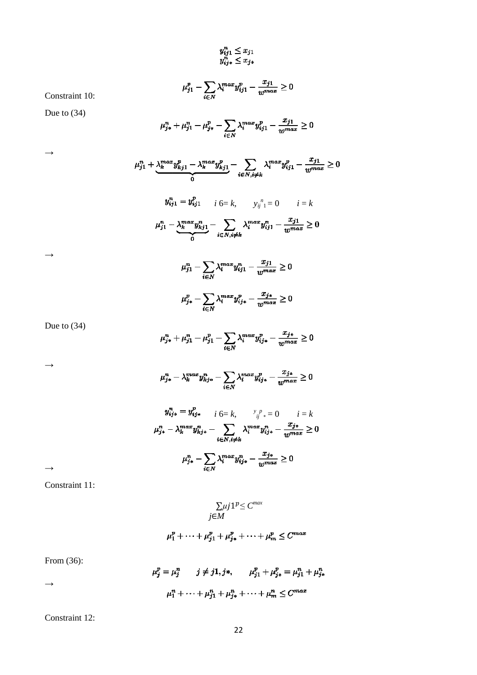$$
y_{ij1}^n \le x_{j1}
$$
  

$$
y_{ij*}^n \le x_{j*}
$$

 $\mu_{j1}^p - \sum_{i \in N} \lambda_i^{max} y_{ij1}^p - \frac{x_{j1}}{w^{max}} \geq 0$ 

Due to (34)  $\mu_{j*}^n + \mu_{j1}^n - \mu_{j*}^p - \sum_{i \in N} \lambda_i^{max} y_{ij1}^p - \frac{x_{j1}}{w^{max}} \ge 0$  $\mu_{j1}^n + \underbrace{\lambda_k^{max} y_{kj1}^p - \lambda_k^{max} y_{kj1}^p}_{0} - \sum_{i \in N, i \neq k} \lambda_i^{max} y_{ij1}^p - \frac{x_{j1}}{w^{max}} \geq 0$ *i* 6= *k*,  $y_{ij}^{n} = 0$  *i* = *k*  $\mu_{j1}^n-\underbrace{\lambda_k^{max} y_{kj1}^n}_{0}-\sum_{i\in N, i\neq k}\lambda_i^{max} y_{ij1}^n-\frac{x_{j1}}{w^{max}}\geq 0$  $\mu_{j1}^n - \sum_{i \in N} \lambda_i^{max} y_{ij1}^n - \frac{x_{j1}}{w^{max}} \ge 0$ 

$$
\mu_{j*}^p - \sum_{i \in N} \lambda_i^{max} y_{ij*}^p - \frac{x_{j*}}{w^{max}} \ge 0
$$

Due to (34)

Constraint 10:

 $\rightarrow$ 

 $\rightarrow$ 

$$
\mu_{j*}^n + \mu_{j1}^n - \mu_{j1}^p - \sum_{i \in N} \lambda_i^{max} y_{ij*}^p - \frac{x_{j*}}{w^{max}} \ge 0
$$

 $\rightarrow$ 

$$
\mu_{j*}^n - \lambda_k^{max} y_{k j*}^n - \sum_{i \in N} \lambda_i^{max} y_{ij*}^p - \frac{x_{j*}}{w^{max}} \ge 0
$$

$$
y_{ij*}^{n} = y_{ij*}^{p} \qquad i \in \mathbb{R}, \qquad y_{ij}^{p} = 0 \qquad i = k
$$
  

$$
\mu_{j*}^{n} - \lambda_{k}^{max} y_{kj*}^{n} - \sum_{i \in N, i \neq k} \lambda_{i}^{max} y_{ij*}^{n} - \frac{x_{j*}}{w^{max}} \ge 0
$$
  

$$
\mu_{j*}^{n} - \sum_{i \in N} \lambda_{i}^{max} y_{ij*}^{n} - \frac{x_{j*}}{w^{max}} \ge 0
$$

 $\rightarrow$ 

Constraint 11:

$$
\sum_{j \in M} \mu j 1^{p} \le C^{max}
$$
  

$$
j \in M
$$
  

$$
t_1^p + \dots + t_{k_1}^p + t_{k_2}^p + \dots + t_{k_m}^p \le C^{max}
$$

$$
\mu_1^p + \dots + \mu_{j1}^p + \mu_{j\ast}^p + \dots + \mu_m^p \le C^{max}
$$

From (36):

 $\rightarrow$ 

$$
\mu_j^p = \mu_j^n \qquad j \neq j1, j*, \qquad \mu_{j1}^p + \mu_{j*}^p = \mu_{j1}^n + \mu_{j*}^n
$$

$$
\mu_1^n + \dots + \mu_{j1}^n + \mu_{j*}^n + \dots + \mu_m^n \le C^{max}
$$

Constraint 12:

22